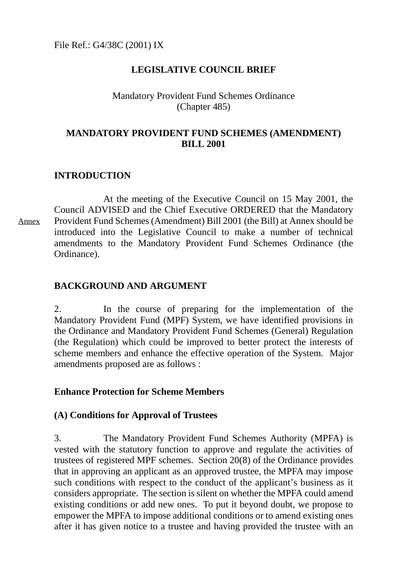## **LEGISLATIVE COUNCIL BRIEF**

### Mandatory Provident Fund Schemes Ordinance (Chapter 485)

## **MANDATORY PROVIDENT FUND SCHEMES (AMENDMENT) BILL 2001**

## **INTRODUCTION**

At the meeting of the Executive Council on 15 May 2001, the Council ADVISED and the Chief Executive ORDERED that the Mandatory Provident Fund Schemes (Amendment) Bill 2001 (the Bill) at Annex should be introduced into the Legislative Council to make a number of technical amendments to the Mandatory Provident Fund Schemes Ordinance (the Ordinance).

## **BACKGROUND AND ARGUMENT**

2. In the course of preparing for the implementation of the Mandatory Provident Fund (MPF) System, we have identified provisions in the Ordinance and Mandatory Provident Fund Schemes (General) Regulation (the Regulation) which could be improved to better protect the interests of scheme members and enhance the effective operation of the System. Major amendments proposed are as follows :

## **Enhance Protection for Scheme Members**

### **(A) Conditions for Approval of Trustees**

3. The Mandatory Provident Fund Schemes Authority (MPFA) is vested with the statutory function to approve and regulate the activities of trustees of registered MPF schemes. Section 20(8) of the Ordinance provides that in approving an applicant as an approved trustee, the MPFA may impose such conditions with respect to the conduct of the applicant's business as it considers appropriate. The section is silent on whether the MPFA could amend existing conditions or add new ones. To put it beyond doubt, we propose to empower the MPFA to impose additional conditions or to amend existing ones after it has given notice to a trustee and having provided the trustee with an

Annex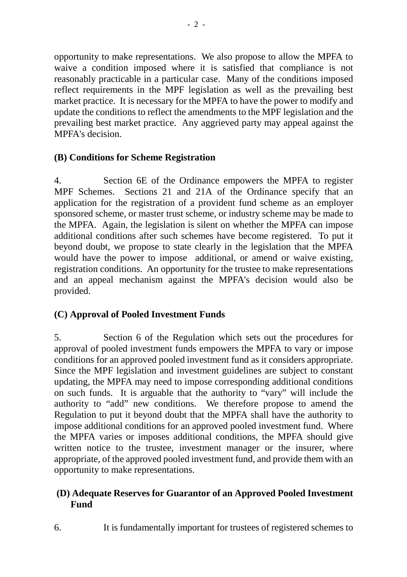opportunity to make representations. We also propose to allow the MPFA to waive a condition imposed where it is satisfied that compliance is not reasonably practicable in a particular case. Many of the conditions imposed reflect requirements in the MPF legislation as well as the prevailing best market practice. It is necessary for the MPFA to have the power to modify and update the conditions to reflect the amendments to the MPF legislation and the prevailing best market practice. Any aggrieved party may appeal against the MPFA's decision.

## **(B) Conditions for Scheme Registration**

4. Section 6E of the Ordinance empowers the MPFA to register MPF Schemes. Sections 21 and 21A of the Ordinance specify that an application for the registration of a provident fund scheme as an employer sponsored scheme, or master trust scheme, or industry scheme may be made to the MPFA. Again, the legislation is silent on whether the MPFA can impose additional conditions after such schemes have become registered. To put it beyond doubt, we propose to state clearly in the legislation that the MPFA would have the power to impose additional, or amend or waive existing, registration conditions. An opportunity for the trustee to make representations and an appeal mechanism against the MPFA's decision would also be provided.

# **(C) Approval of Pooled Investment Funds**

5. Section 6 of the Regulation which sets out the procedures for approval of pooled investment funds empowers the MPFA to vary or impose conditions for an approved pooled investment fund as it considers appropriate. Since the MPF legislation and investment guidelines are subject to constant updating, the MPFA may need to impose corresponding additional conditions on such funds. It is arguable that the authority to "vary" will include the authority to "add" new conditions. We therefore propose to amend the Regulation to put it beyond doubt that the MPFA shall have the authority to impose additional conditions for an approved pooled investment fund. Where the MPFA varies or imposes additional conditions, the MPFA should give written notice to the trustee, investment manager or the insurer, where appropriate, of the approved pooled investment fund, and provide them with an opportunity to make representations.

## **(D) Adequate Reserves for Guarantor of an Approved Pooled Investment Fund**

6. It is fundamentally important for trustees of registered schemes to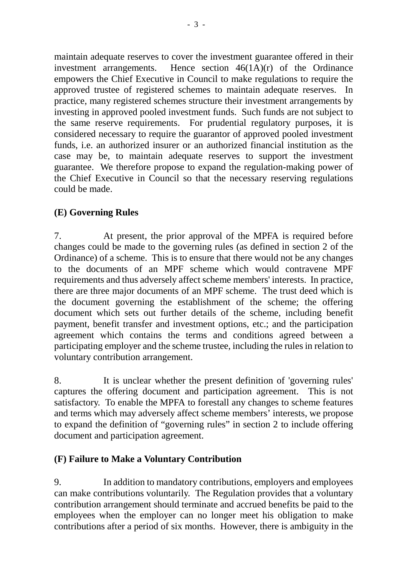maintain adequate reserves to cover the investment guarantee offered in their investment arrangements. Hence section 46(1A)(r) of the Ordinance empowers the Chief Executive in Council to make regulations to require the approved trustee of registered schemes to maintain adequate reserves. In practice, many registered schemes structure their investment arrangements by investing in approved pooled investment funds. Such funds are not subject to the same reserve requirements. For prudential regulatory purposes, it is considered necessary to require the guarantor of approved pooled investment funds, i.e. an authorized insurer or an authorized financial institution as the case may be, to maintain adequate reserves to support the investment guarantee. We therefore propose to expand the regulation-making power of the Chief Executive in Council so that the necessary reserving regulations could be made.

# **(E) Governing Rules**

7. At present, the prior approval of the MPFA is required before changes could be made to the governing rules (as defined in section 2 of the Ordinance) of a scheme. This is to ensure that there would not be any changes to the documents of an MPF scheme which would contravene MPF requirements and thus adversely affect scheme members' interests. In practice, there are three major documents of an MPF scheme. The trust deed which is the document governing the establishment of the scheme; the offering document which sets out further details of the scheme, including benefit payment, benefit transfer and investment options, etc.; and the participation agreement which contains the terms and conditions agreed between a participating employer and the scheme trustee, including the rules in relation to voluntary contribution arrangement.

8. It is unclear whether the present definition of 'governing rules' captures the offering document and participation agreement. This is not satisfactory. To enable the MPFA to forestall any changes to scheme features and terms which may adversely affect scheme members' interests, we propose to expand the definition of "governing rules" in section 2 to include offering document and participation agreement.

## **(F) Failure to Make a Voluntary Contribution**

9. In addition to mandatory contributions, employers and employees can make contributions voluntarily. The Regulation provides that a voluntary contribution arrangement should terminate and accrued benefits be paid to the employees when the employer can no longer meet his obligation to make contributions after a period of six months. However, there is ambiguity in the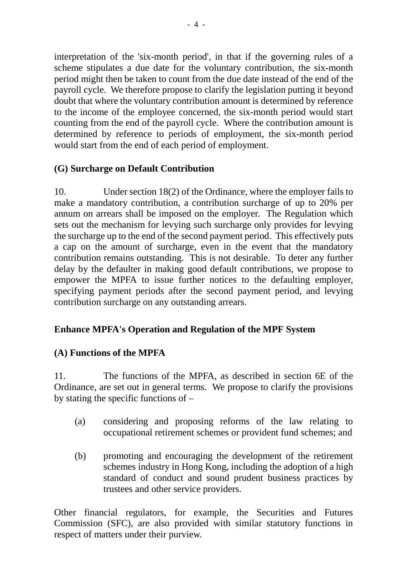interpretation of the 'six-month period', in that if the governing rules of a scheme stipulates a due date for the voluntary contribution, the six-month period might then be taken to count from the due date instead of the end of the payroll cycle. We therefore propose to clarify the legislation putting it beyond doubt that where the voluntary contribution amount is determined by reference to the income of the employee concerned, the six-month period would start counting from the end of the payroll cycle. Where the contribution amount is determined by reference to periods of employment, the six-month period would start from the end of each period of employment.

# **(G) Surcharge on Default Contribution**

10. Under section 18(2) of the Ordinance, where the employer fails to make a mandatory contribution, a contribution surcharge of up to 20% per annum on arrears shall be imposed on the employer. The Regulation which sets out the mechanism for levying such surcharge only provides for levying the surcharge up to the end of the second payment period. This effectively puts a cap on the amount of surcharge, even in the event that the mandatory contribution remains outstanding. This is not desirable. To deter any further delay by the defaulter in making good default contributions, we propose to empower the MPFA to issue further notices to the defaulting employer, specifying payment periods after the second payment period, and levying contribution surcharge on any outstanding arrears.

## **Enhance MPFA's Operation and Regulation of the MPF System**

## **(A) Functions of the MPFA**

11. The functions of the MPFA, as described in section 6E of the Ordinance, are set out in general terms. We propose to clarify the provisions by stating the specific functions of –

- (a) considering and proposing reforms of the law relating to occupational retirement schemes or provident fund schemes; and
- (b) promoting and encouraging the development of the retirement schemes industry in Hong Kong, including the adoption of a high standard of conduct and sound prudent business practices by trustees and other service providers.

Other financial regulators, for example, the Securities and Futures Commission (SFC), are also provided with similar statutory functions in respect of matters under their purview.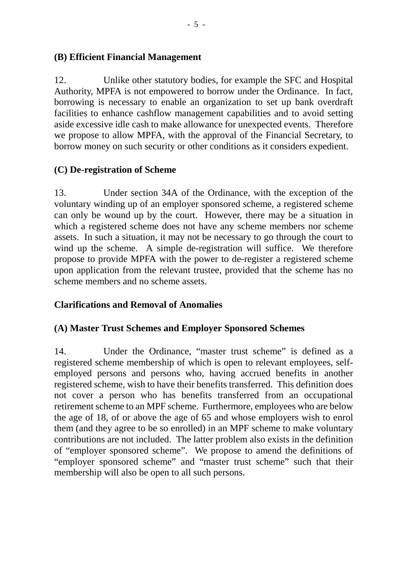### **(B) Efficient Financial Management**

12. Unlike other statutory bodies, for example the SFC and Hospital Authority, MPFA is not empowered to borrow under the Ordinance. In fact, borrowing is necessary to enable an organization to set up bank overdraft facilities to enhance cashflow management capabilities and to avoid setting aside excessive idle cash to make allowance for unexpected events. Therefore we propose to allow MPFA, with the approval of the Financial Secretary, to borrow money on such security or other conditions as it considers expedient.

## **(C) De-registration of Scheme**

13. Under section 34A of the Ordinance, with the exception of the voluntary winding up of an employer sponsored scheme, a registered scheme can only be wound up by the court. However, there may be a situation in which a registered scheme does not have any scheme members nor scheme assets. In such a situation, it may not be necessary to go through the court to wind up the scheme. A simple de-registration will suffice. We therefore propose to provide MPFA with the power to de-register a registered scheme upon application from the relevant trustee, provided that the scheme has no scheme members and no scheme assets.

## **Clarifications and Removal of Anomalies**

## **(A) Master Trust Schemes and Employer Sponsored Schemes**

14. Under the Ordinance, "master trust scheme" is defined as a registered scheme membership of which is open to relevant employees, selfemployed persons and persons who, having accrued benefits in another registered scheme, wish to have their benefits transferred. This definition does not cover a person who has benefits transferred from an occupational retirement scheme to an MPF scheme. Furthermore, employees who are below the age of 18, of or above the age of 65 and whose employers wish to enrol them (and they agree to be so enrolled) in an MPF scheme to make voluntary contributions are not included. The latter problem also exists in the definition of "employer sponsored scheme". We propose to amend the definitions of "employer sponsored scheme" and "master trust scheme" such that their membership will also be open to all such persons.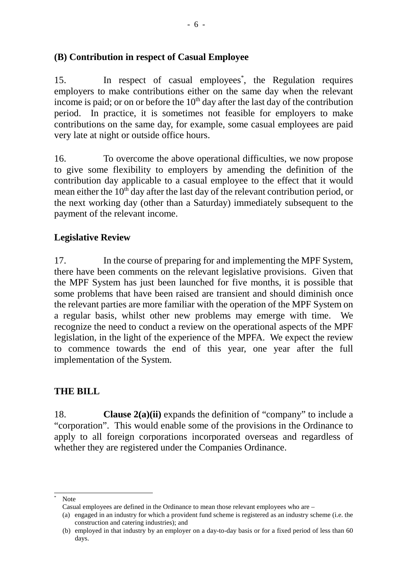## **(B) Contribution in respect of Casual Employee**

15. In respect of casual employees<sup>\*</sup>, the Regulation requires employers to make contributions either on the same day when the relevant income is paid; or on or before the  $10<sup>th</sup>$  day after the last day of the contribution period. In practice, it is sometimes not feasible for employers to make contributions on the same day, for example, some casual employees are paid very late at night or outside office hours.

16. To overcome the above operational difficulties, we now propose to give some flexibility to employers by amending the definition of the contribution day applicable to a casual employee to the effect that it would mean either the  $10<sup>th</sup>$  day after the last day of the relevant contribution period, or the next working day (other than a Saturday) immediately subsequent to the payment of the relevant income.

## **Legislative Review**

17. In the course of preparing for and implementing the MPF System, there have been comments on the relevant legislative provisions. Given that the MPF System has just been launched for five months, it is possible that some problems that have been raised are transient and should diminish once the relevant parties are more familiar with the operation of the MPF System on a regular basis, whilst other new problems may emerge with time. We recognize the need to conduct a review on the operational aspects of the MPF legislation, in the light of the experience of the MPFA. We expect the review to commence towards the end of this year, one year after the full implementation of the System.

### **THE BILL**

18. **Clause 2(a)(ii)** expands the definition of "company" to include a "corporation". This would enable some of the provisions in the Ordinance to apply to all foreign corporations incorporated overseas and regardless of whether they are registered under the Companies Ordinance.

 $\overline{1}$ 

Note

Casual employees are defined in the Ordinance to mean those relevant employees who are –

<sup>(</sup>a) engaged in an industry for which a provident fund scheme is registered as an industry scheme (i.e. the construction and catering industries); and

<sup>(</sup>b) employed in that industry by an employer on a day-to-day basis or for a fixed period of less than 60 days.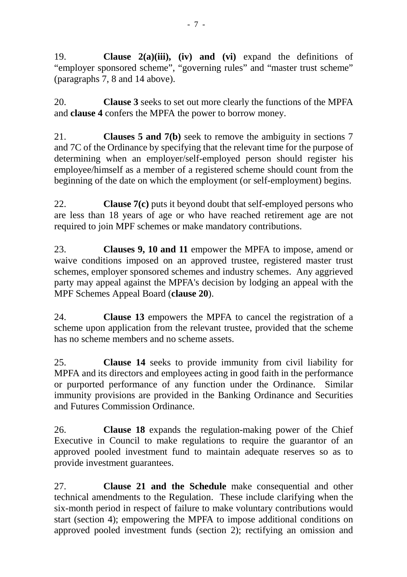19. **Clause 2(a)(iii), (iv) and (vi)** expand the definitions of "employer sponsored scheme", "governing rules" and "master trust scheme" (paragraphs 7, 8 and 14 above).

20. **Clause 3** seeks to set out more clearly the functions of the MPFA and **clause 4** confers the MPFA the power to borrow money.

21. **Clauses 5 and 7(b)** seek to remove the ambiguity in sections 7 and 7C of the Ordinance by specifying that the relevant time for the purpose of determining when an employer/self-employed person should register his employee/himself as a member of a registered scheme should count from the beginning of the date on which the employment (or self-employment) begins.

22. **Clause 7(c)** puts it beyond doubt that self-employed persons who are less than 18 years of age or who have reached retirement age are not required to join MPF schemes or make mandatory contributions.

23. **Clauses 9, 10 and 11** empower the MPFA to impose, amend or waive conditions imposed on an approved trustee, registered master trust schemes, employer sponsored schemes and industry schemes. Any aggrieved party may appeal against the MPFA's decision by lodging an appeal with the MPF Schemes Appeal Board (**clause 20**).

24. **Clause 13** empowers the MPFA to cancel the registration of a scheme upon application from the relevant trustee, provided that the scheme has no scheme members and no scheme assets.

25. **Clause 14** seeks to provide immunity from civil liability for MPFA and its directors and employees acting in good faith in the performance or purported performance of any function under the Ordinance. Similar immunity provisions are provided in the Banking Ordinance and Securities and Futures Commission Ordinance.

26. **Clause 18** expands the regulation-making power of the Chief Executive in Council to make regulations to require the guarantor of an approved pooled investment fund to maintain adequate reserves so as to provide investment guarantees.

27. **Clause 21 and the Schedule** make consequential and other technical amendments to the Regulation. These include clarifying when the six-month period in respect of failure to make voluntary contributions would start (section 4); empowering the MPFA to impose additional conditions on approved pooled investment funds (section 2); rectifying an omission and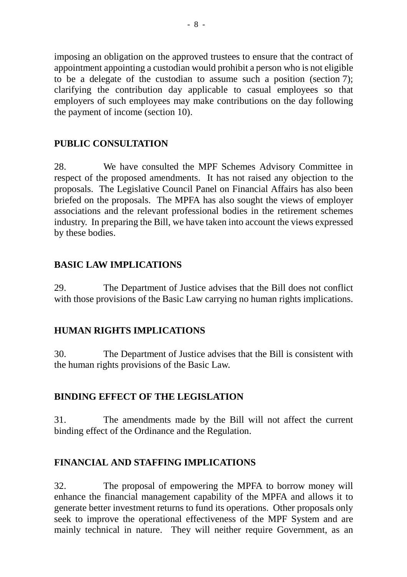imposing an obligation on the approved trustees to ensure that the contract of appointment appointing a custodian would prohibit a person who is not eligible to be a delegate of the custodian to assume such a position (section 7); clarifying the contribution day applicable to casual employees so that employers of such employees may make contributions on the day following the payment of income (section 10).

## **PUBLIC CONSULTATION**

28. We have consulted the MPF Schemes Advisory Committee in respect of the proposed amendments. It has not raised any objection to the proposals. The Legislative Council Panel on Financial Affairs has also been briefed on the proposals. The MPFA has also sought the views of employer associations and the relevant professional bodies in the retirement schemes industry. In preparing the Bill, we have taken into account the views expressed by these bodies.

# **BASIC LAW IMPLICATIONS**

29. The Department of Justice advises that the Bill does not conflict with those provisions of the Basic Law carrying no human rights implications.

# **HUMAN RIGHTS IMPLICATIONS**

30. The Department of Justice advises that the Bill is consistent with the human rights provisions of the Basic Law.

## **BINDING EFFECT OF THE LEGISLATION**

31. The amendments made by the Bill will not affect the current binding effect of the Ordinance and the Regulation.

## **FINANCIAL AND STAFFING IMPLICATIONS**

32. The proposal of empowering the MPFA to borrow money will enhance the financial management capability of the MPFA and allows it to generate better investment returns to fund its operations. Other proposals only seek to improve the operational effectiveness of the MPF System and are mainly technical in nature. They will neither require Government, as an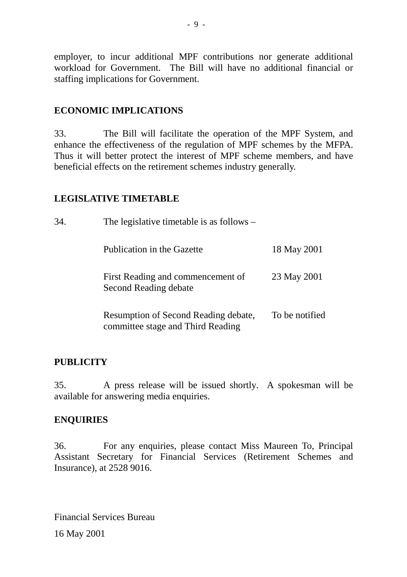employer, to incur additional MPF contributions nor generate additional workload for Government. The Bill will have no additional financial or staffing implications for Government.

## **ECONOMIC IMPLICATIONS**

33. The Bill will facilitate the operation of the MPF System, and enhance the effectiveness of the regulation of MPF schemes by the MFPA. Thus it will better protect the interest of MPF scheme members, and have beneficial effects on the retirement schemes industry generally.

## **LEGISLATIVE TIMETABLE**

| 34. | The legislative timetable is as follows $-$                               |                |  |  |
|-----|---------------------------------------------------------------------------|----------------|--|--|
|     | Publication in the Gazette                                                | 18 May 2001    |  |  |
|     | First Reading and commencement of<br>Second Reading debate                | 23 May 2001    |  |  |
|     | Resumption of Second Reading debate,<br>committee stage and Third Reading | To be notified |  |  |

### **PUBLICITY**

35. A press release will be issued shortly. A spokesman will be available for answering media enquiries.

### **ENQUIRIES**

36. For any enquiries, please contact Miss Maureen To, Principal Assistant Secretary for Financial Services (Retirement Schemes and Insurance), at 2528 9016.

Financial Services Bureau 16 May 2001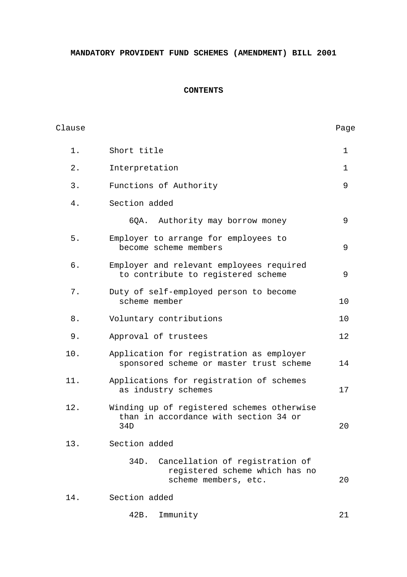**MANDATORY PROVIDENT FUND SCHEMES (AMENDMENT) BILL 2001**

### **CONTENTS**

| Clause |                                                                                                   | Page        |
|--------|---------------------------------------------------------------------------------------------------|-------------|
| $1$ .  | Short title                                                                                       | $\mathbf 1$ |
| $2$ .  | Interpretation                                                                                    | $\mathbf 1$ |
| 3.     | Functions of Authority                                                                            | 9           |
| 4.     | Section added                                                                                     |             |
|        | Authority may borrow money<br>6QA.                                                                | 9           |
| $5.$   | Employer to arrange for employees to<br>become scheme members                                     | 9           |
| б.     | Employer and relevant employees required<br>to contribute to registered scheme                    | 9           |
| $7$ .  | Duty of self-employed person to become<br>scheme member                                           | 10          |
| 8.     | Voluntary contributions                                                                           | 10          |
| 9.     | Approval of trustees                                                                              | 12          |
| 10.    | Application for registration as employer<br>sponsored scheme or master trust scheme               | 14          |
| 11.    | Applications for registration of schemes<br>as industry schemes                                   | 17          |
| 12.    | Winding up of registered schemes otherwise<br>than in accordance with section 34 or<br>34D        | 20          |
| 13.    | Section added                                                                                     |             |
|        | Cancellation of registration of<br>34D.<br>registered scheme which has no<br>scheme members, etc. | 20          |
| 14.    | Section added                                                                                     |             |

42B. Immunity 21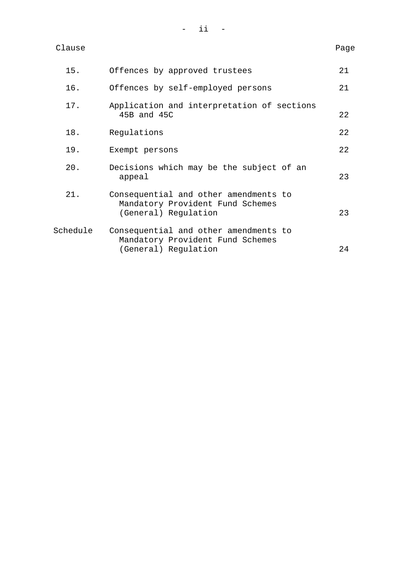| Clause | Page |
|--------|------|
|--------|------|

| 15.      | Offences by approved trustees                                                                     | 21 |
|----------|---------------------------------------------------------------------------------------------------|----|
| 16.      | Offences by self-employed persons                                                                 | 21 |
| 17.      | Application and interpretation of sections<br>45B and 45C                                         | 22 |
| 18.      | Regulations                                                                                       | 22 |
| 19.      | Exempt persons                                                                                    | 22 |
| 20.      | Decisions which may be the subject of an<br>appeal                                                | 23 |
| 21.      | Consequential and other amendments to<br>Mandatory Provident Fund Schemes<br>(General) Regulation | 23 |
| Schedule | Consequential and other amendments to<br>Mandatory Provident Fund Schemes<br>(General) Regulation | 24 |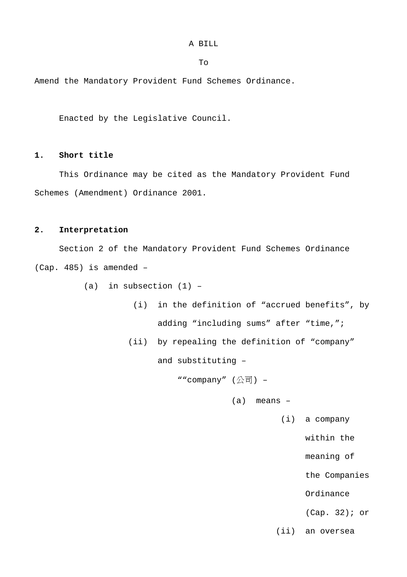To

Amend the Mandatory Provident Fund Schemes Ordinance.

Enacted by the Legislative Council.

### **1. Short title**

This Ordinance may be cited as the Mandatory Provident Fund Schemes (Amendment) Ordinance 2001.

### **2. Interpretation**

Section 2 of the Mandatory Provident Fund Schemes Ordinance (Cap. 485) is amended –

(a) in subsection  $(1)$  -

- (i) in the definition of "accrued benefits", by adding "including sums" after "time,";
- (ii) by repealing the definition of "company"

and substituting –

""company" (公司) –

(a) means –

(i) a company

within the

meaning of

the Companies

Ordinance

(Cap. 32); or

(ii) an oversea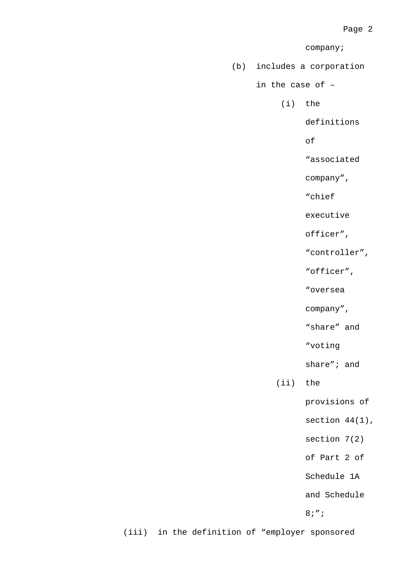company;

(b) includes a corporation

in the case of –

(i) the

definitions

of

"associated

company",

"chief

executive

officer",

"controller",

"officer",

"oversea

company",

"share" and

"voting

share"; and

(ii) the

provisions of

section  $44(1)$ ,

section 7(2)

of Part 2 of

Schedule 1A

and Schedule

8;";

(iii) in the definition of "employer sponsored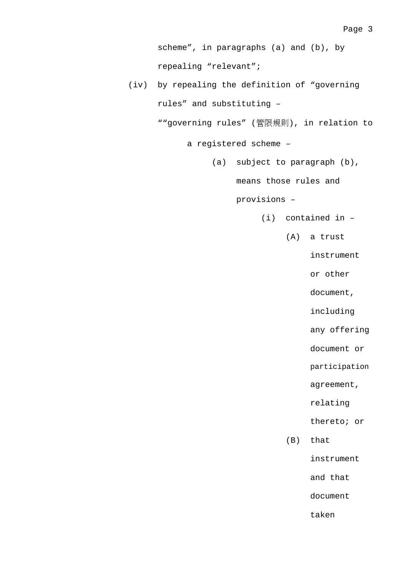scheme", in paragraphs (a) and (b), by repealing "relevant";

(iv) by repealing the definition of "governing rules" and substituting –

""governing rules" (管限規則), in relation to

a registered scheme –

(a) subject to paragraph (b),

means those rules and

provisions –

- (i) contained in
	- (A) a trust

instrument

or other

document,

including

any offering

document or

participation

agreement,

relating

thereto; or

(B) that

instrument

and that

document

taken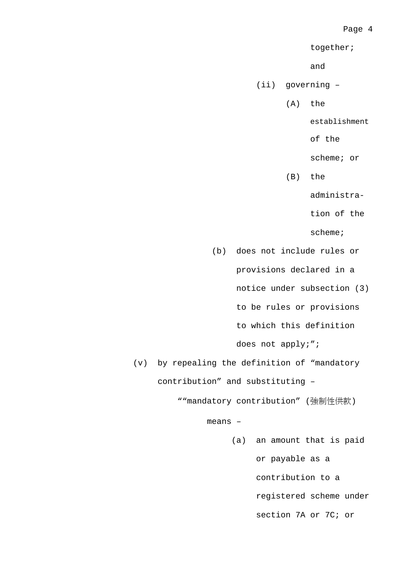Page 4

together;

and

(ii) governing –

(A) the

establishment

of the

scheme; or

(B) the

administra-

tion of the

scheme;

(b) does not include rules or provisions declared in a

notice under subsection (3)

to be rules or provisions

to which this definition

does not apply;";

(v) by repealing the definition of "mandatory contribution" and substituting –

""mandatory contribution" (強制性供款)

means –

(a) an amount that is paid or payable as a contribution to a registered scheme under section 7A or 7C; or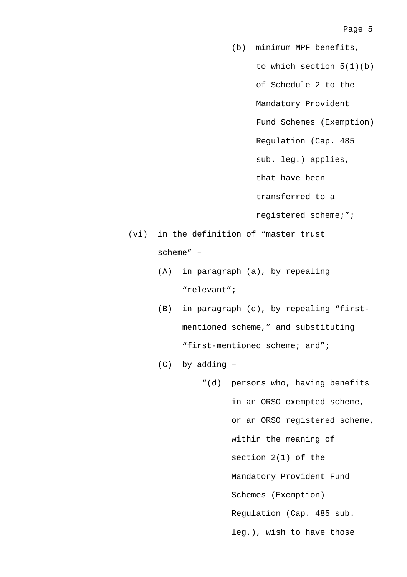(b) minimum MPF benefits, to which section 5(1)(b) of Schedule 2 to the Mandatory Provident Fund Schemes (Exemption) Regulation (Cap. 485 sub. leg.) applies, that have been transferred to a registered scheme;"; (vi) in the definition of "master trust (A) in paragraph (a), by repealing "relevant";

- (B) in paragraph (c), by repealing "firstmentioned scheme," and substituting "first-mentioned scheme; and";
- (C) by adding –

scheme" –

"(d) persons who, having benefits in an ORSO exempted scheme, or an ORSO registered scheme, within the meaning of section 2(1) of the Mandatory Provident Fund Schemes (Exemption) Regulation (Cap. 485 sub. leg.), wish to have those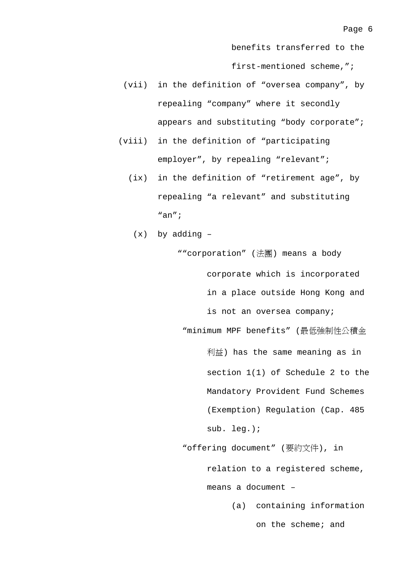benefits transferred to the

first-mentioned scheme,";

- (vii) in the definition of "oversea company", by repealing "company" where it secondly appears and substituting "body corporate";
- (viii) in the definition of "participating employer", by repealing "relevant";
	- (ix) in the definition of "retirement age", by repealing "a relevant" and substituting "an";
		- (x) by adding –

""corporation" (法團) means a body corporate which is incorporated in a place outside Hong Kong and is not an oversea company; "minimum MPF benefits" (最低強制性公積金

> 利益) has the same meaning as in section 1(1) of Schedule 2 to the Mandatory Provident Fund Schemes (Exemption) Regulation (Cap. 485 sub. leg.);

"offering document" (要約文件), in relation to a registered scheme, means a document –

> (a) containing information on the scheme; and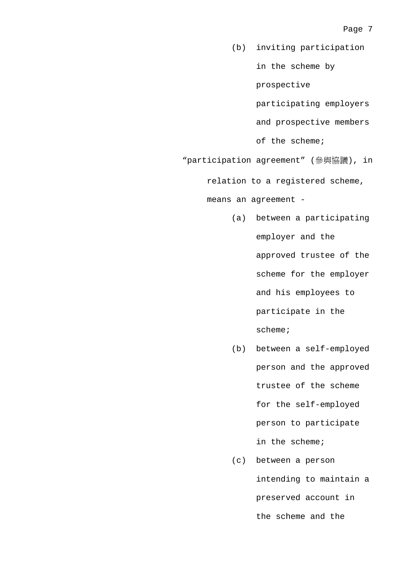- (b) inviting participation in the scheme by prospective participating employers and prospective members of the scheme;
- "participation agreement" (參與協議), in

relation to a registered scheme,

means an agreement -

- (a) between a participating employer and the approved trustee of the scheme for the employer and his employees to participate in the scheme;
- (b) between a self-employed person and the approved trustee of the scheme for the self-employed person to participate in the scheme;
- (c) between a person intending to maintain a preserved account in the scheme and the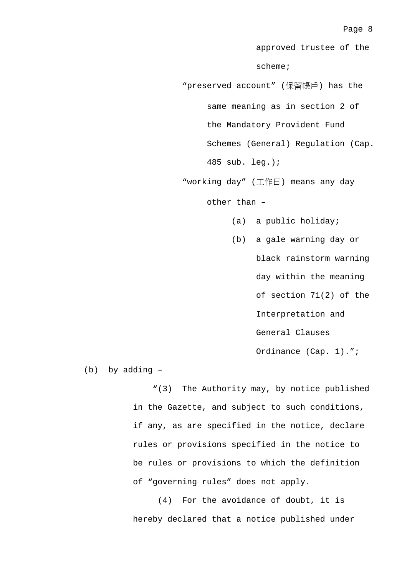approved trustee of the scheme;

"preserved account" (保留帳戶) has the same meaning as in section 2 of the Mandatory Provident Fund Schemes (General) Regulation (Cap. 485 sub. leg.);

"working day" (工作日) means any day

other than –

- (a) a public holiday;
- (b) a gale warning day or black rainstorm warning day within the meaning of section 71(2) of the Interpretation and General Clauses Ordinance (Cap. 1).";

(b) by adding –

"(3) The Authority may, by notice published in the Gazette, and subject to such conditions, if any, as are specified in the notice, declare rules or provisions specified in the notice to be rules or provisions to which the definition of "governing rules" does not apply.

(4) For the avoidance of doubt, it is hereby declared that a notice published under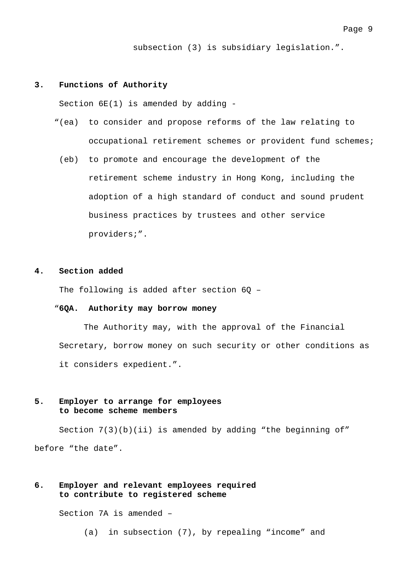subsection (3) is subsidiary legislation.".

#### **3. Functions of Authority**

Section 6E(1) is amended by adding -

- "(ea) to consider and propose reforms of the law relating to occupational retirement schemes or provident fund schemes;
	- (eb) to promote and encourage the development of the retirement scheme industry in Hong Kong, including the adoption of a high standard of conduct and sound prudent business practices by trustees and other service

#### **4. Section added**

The following is added after section  $60 -$ 

#### "**6QA. Authority may borrow money**

providers;".

The Authority may, with the approval of the Financial Secretary, borrow money on such security or other conditions as it considers expedient.".

### **5. Employer to arrange for employees to become scheme members**

Section 7(3)(b)(ii) is amended by adding "the beginning of" before "the date".

### **6. Employer and relevant employees required to contribute to registered scheme**

Section 7A is amended –

(a) in subsection (7), by repealing "income" and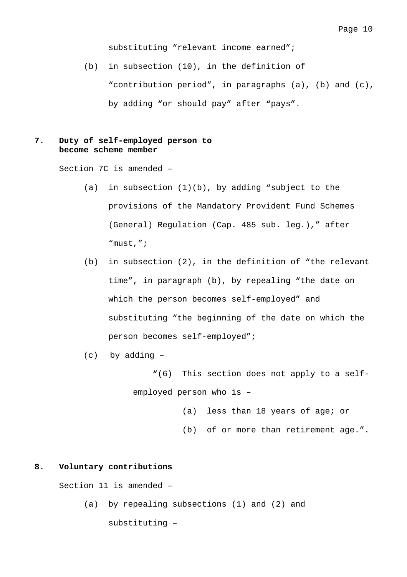substituting "relevant income earned";

(b) in subsection (10), in the definition of "contribution period", in paragraphs (a), (b) and (c), by adding "or should pay" after "pays".

### **7. Duty of self-employed person to become scheme member**

Section 7C is amended –

- (a) in subsection  $(1)(b)$ , by adding "subject to the provisions of the Mandatory Provident Fund Schemes (General) Regulation (Cap. 485 sub. leg.)," after "must,";
- (b) in subsection (2), in the definition of "the relevant time", in paragraph (b), by repealing "the date on which the person becomes self-employed" and substituting "the beginning of the date on which the person becomes self-employed";
- (c) by adding
	- "(6) This section does not apply to a selfemployed person who is –
		- (a) less than 18 years of age; or
		- (b) of or more than retirement age.".

#### **8. Voluntary contributions**

Section 11 is amended –

(a) by repealing subsections (1) and (2) and substituting –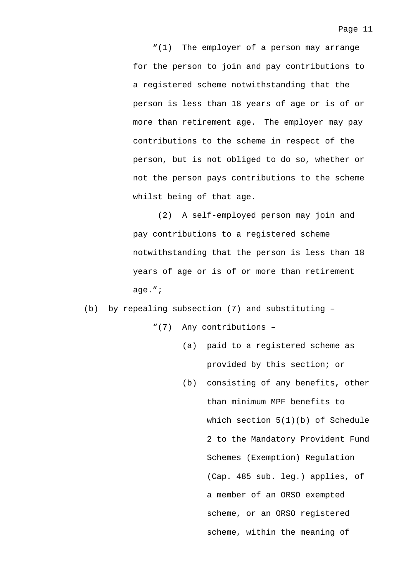"(1) The employer of a person may arrange for the person to join and pay contributions to a registered scheme notwithstanding that the person is less than 18 years of age or is of or more than retirement age. The employer may pay contributions to the scheme in respect of the person, but is not obliged to do so, whether or not the person pays contributions to the scheme whilst being of that age.

(2) A self-employed person may join and pay contributions to a registered scheme notwithstanding that the person is less than 18 years of age or is of or more than retirement age.";

(b) by repealing subsection (7) and substituting –

"(7) Any contributions –

- (a) paid to a registered scheme as provided by this section; or
- (b) consisting of any benefits, other than minimum MPF benefits to which section  $5(1)(b)$  of Schedule 2 to the Mandatory Provident Fund Schemes (Exemption) Regulation (Cap. 485 sub. leg.) applies, of a member of an ORSO exempted scheme, or an ORSO registered scheme, within the meaning of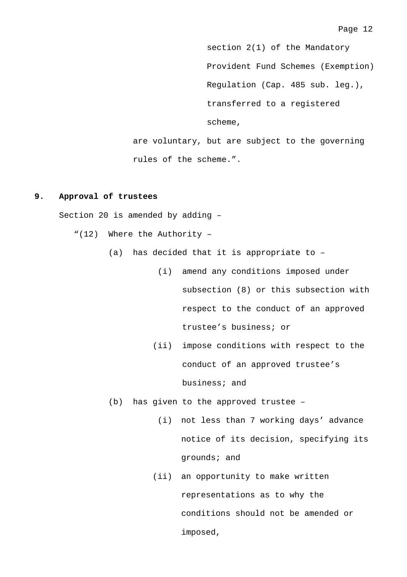section 2(1) of the Mandatory Provident Fund Schemes (Exemption) Regulation (Cap. 485 sub. leg.), transferred to a registered scheme,

are voluntary, but are subject to the governing rules of the scheme.".

#### **9. Approval of trustees**

Section 20 is amended by adding –

- "(12) Where the Authority
	- (a) has decided that it is appropriate to
		- (i) amend any conditions imposed under subsection (8) or this subsection with respect to the conduct of an approved trustee's business; or
		- (ii) impose conditions with respect to the conduct of an approved trustee's business; and
	- (b) has given to the approved trustee
		- (i) not less than 7 working days' advance notice of its decision, specifying its grounds; and
		- (ii) an opportunity to make written representations as to why the conditions should not be amended or imposed,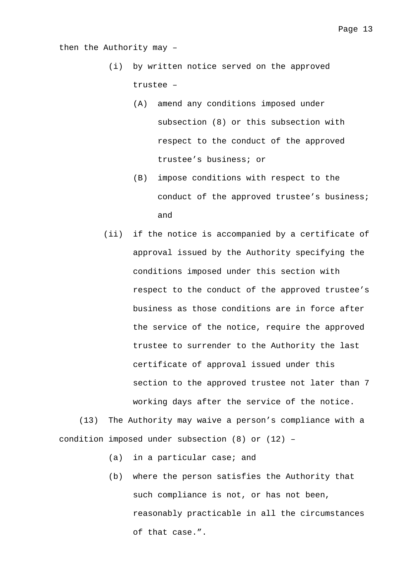then the Authority may –

- (i) by written notice served on the approved trustee –
	- (A) amend any conditions imposed under subsection (8) or this subsection with respect to the conduct of the approved trustee's business; or
	- (B) impose conditions with respect to the conduct of the approved trustee's business; and
- (ii) if the notice is accompanied by a certificate of approval issued by the Authority specifying the conditions imposed under this section with respect to the conduct of the approved trustee's business as those conditions are in force after the service of the notice, require the approved trustee to surrender to the Authority the last certificate of approval issued under this section to the approved trustee not later than 7 working days after the service of the notice.

(13) The Authority may waive a person's compliance with a condition imposed under subsection (8) or (12) –

- (a) in a particular case; and
- (b) where the person satisfies the Authority that such compliance is not, or has not been, reasonably practicable in all the circumstances of that case.".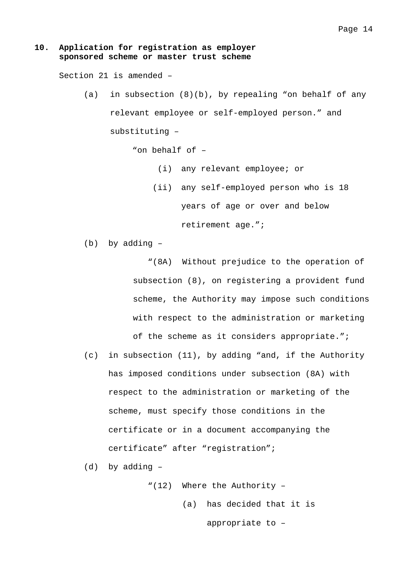#### **10. Application for registration as employer sponsored scheme or master trust scheme**

Section 21 is amended –

(a) in subsection (8)(b), by repealing "on behalf of any relevant employee or self-employed person." and substituting –

"on behalf of –

- (i) any relevant employee; or
- (ii) any self-employed person who is 18 years of age or over and below

retirement age.";

(b) by adding –

"(8A) Without prejudice to the operation of subsection (8), on registering a provident fund scheme, the Authority may impose such conditions with respect to the administration or marketing

of the scheme as it considers appropriate.";

(c) in subsection (11), by adding "and, if the Authority has imposed conditions under subsection (8A) with respect to the administration or marketing of the scheme, must specify those conditions in the certificate or in a document accompanying the certificate" after "registration";

(d) by adding –

"(12) Where the Authority – (a) has decided that it is

appropriate to –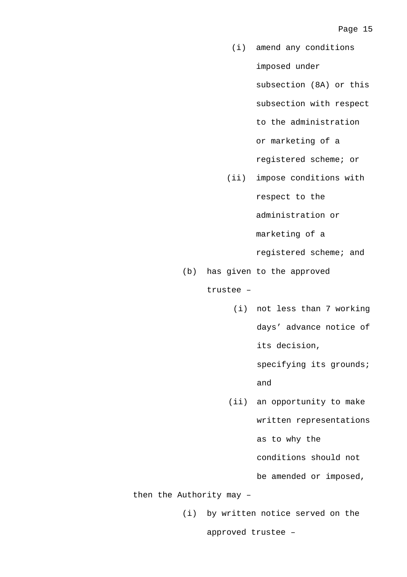- (i) amend any conditions imposed under subsection (8A) or this subsection with respect to the administration or marketing of a registered scheme; or
- (ii) impose conditions with

respect to the

administration or

marketing of a

registered scheme; and

(b) has given to the approved

trustee –

(i) not less than 7 working days' advance notice of its decision,

specifying its grounds;

and

(ii) an opportunity to make written representations as to why the conditions should not

be amended or imposed,

then the Authority may –

(i) by written notice served on the

approved trustee –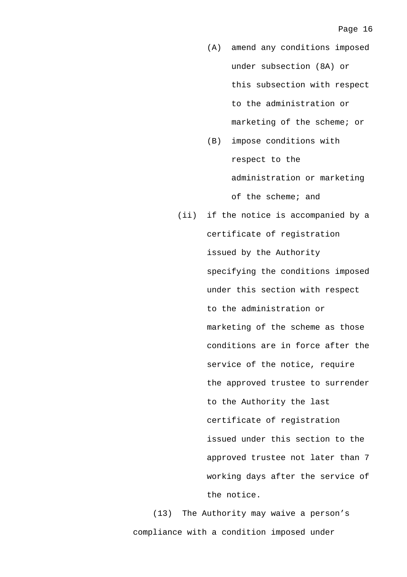- (A) amend any conditions imposed under subsection (8A) or this subsection with respect to the administration or marketing of the scheme; or
- (B) impose conditions with respect to the administration or marketing of the scheme; and
- (ii) if the notice is accompanied by a certificate of registration issued by the Authority specifying the conditions imposed under this section with respect to the administration or marketing of the scheme as those conditions are in force after the service of the notice, require the approved trustee to surrender to the Authority the last certificate of registration issued under this section to the approved trustee not later than 7 working days after the service of the notice.

(13) The Authority may waive a person's compliance with a condition imposed under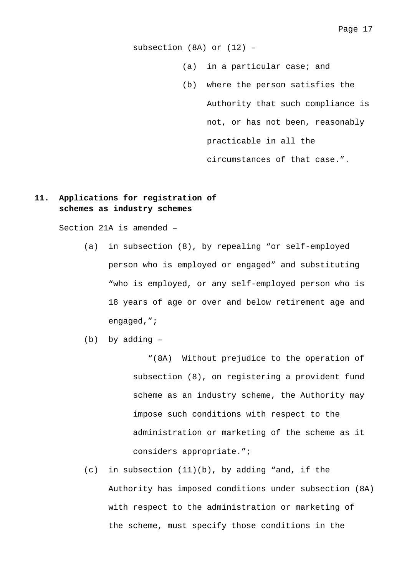subsection (8A) or (12) –

- (a) in a particular case; and
- (b) where the person satisfies the Authority that such compliance is not, or has not been, reasonably practicable in all the circumstances of that case.".

### **11. Applications for registration of schemes as industry schemes**

Section 21A is amended –

- (a) in subsection (8), by repealing "or self-employed person who is employed or engaged" and substituting "who is employed, or any self-employed person who is 18 years of age or over and below retirement age and engaged,";
- (b) by adding –

"(8A) Without prejudice to the operation of subsection (8), on registering a provident fund scheme as an industry scheme, the Authority may impose such conditions with respect to the administration or marketing of the scheme as it considers appropriate.";

(c) in subsection (11)(b), by adding "and, if the Authority has imposed conditions under subsection (8A) with respect to the administration or marketing of the scheme, must specify those conditions in the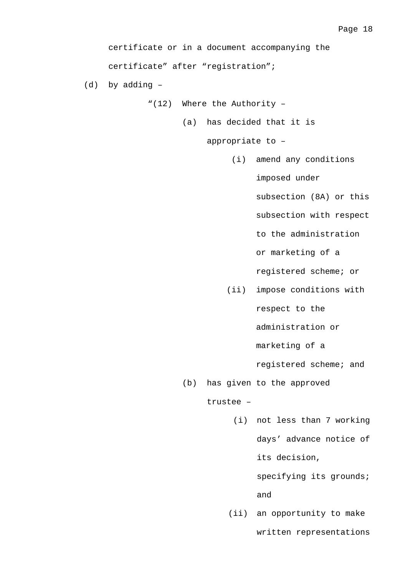certificate or in a document accompanying the certificate" after "registration";

(d) by adding –

"(12) Where the Authority –

(a) has decided that it is

appropriate to –

(i) amend any conditions imposed under

subsection (8A) or this

subsection with respect

to the administration

or marketing of a

registered scheme; or

(ii) impose conditions with respect to the

administration or

marketing of a

registered scheme; and

(b) has given to the approved

trustee –

(i) not less than 7 working days' advance notice of its decision,

> specifying its grounds; and

(ii) an opportunity to make

written representations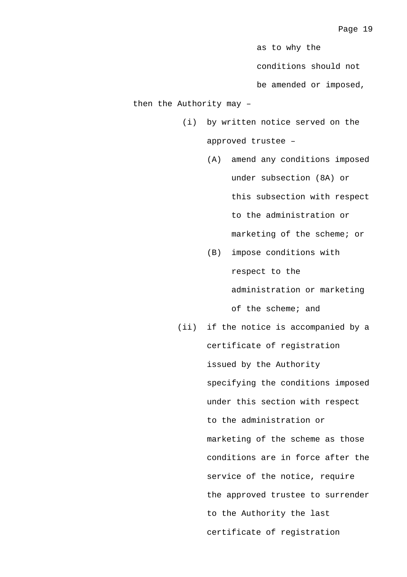as to why the

conditions should not

be amended or imposed,

then the Authority may –

- (i) by written notice served on the approved trustee –
	- (A) amend any conditions imposed under subsection (8A) or this subsection with respect to the administration or marketing of the scheme; or
	- (B) impose conditions with respect to the administration or marketing of the scheme; and
- (ii) if the notice is accompanied by a certificate of registration issued by the Authority specifying the conditions imposed under this section with respect to the administration or marketing of the scheme as those conditions are in force after the service of the notice, require the approved trustee to surrender to the Authority the last certificate of registration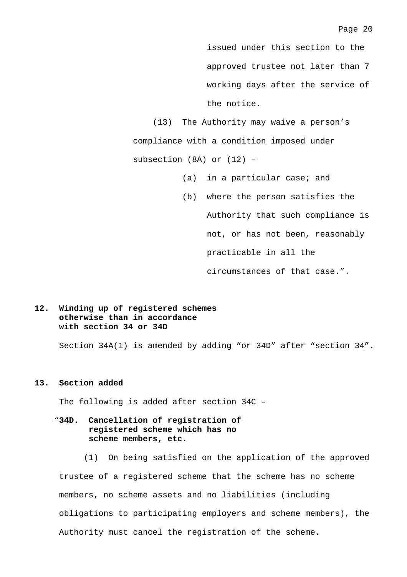issued under this section to the approved trustee not later than 7 working days after the service of the notice.

(13) The Authority may waive a person's compliance with a condition imposed under subsection (8A) or (12) –

- (a) in a particular case; and
- (b) where the person satisfies the Authority that such compliance is not, or has not been, reasonably practicable in all the

circumstances of that case.".

### **12. Winding up of registered schemes otherwise than in accordance with section 34 or 34D**

Section 34A(1) is amended by adding "or 34D" after "section 34".

#### **13. Section added**

The following is added after section 34C –

### "**34D. Cancellation of registration of registered scheme which has no scheme members, etc.**

(1) On being satisfied on the application of the approved trustee of a registered scheme that the scheme has no scheme members, no scheme assets and no liabilities (including obligations to participating employers and scheme members), the Authority must cancel the registration of the scheme.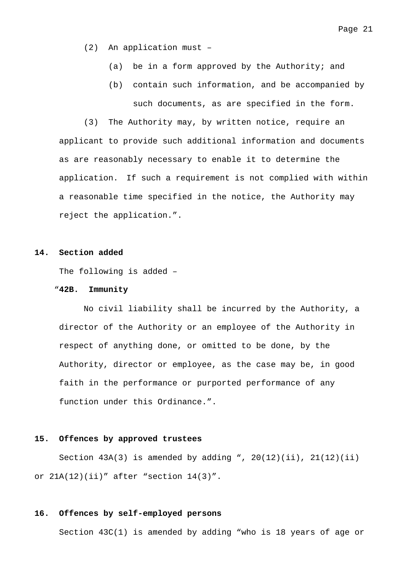- (2) An application must
	- (a) be in a form approved by the Authority; and
	- (b) contain such information, and be accompanied by such documents, as are specified in the form.

(3) The Authority may, by written notice, require an applicant to provide such additional information and documents as are reasonably necessary to enable it to determine the application. If such a requirement is not complied with within a reasonable time specified in the notice, the Authority may reject the application.".

#### **14. Section added**

The following is added –

#### "**42B. Immunity**

No civil liability shall be incurred by the Authority, a director of the Authority or an employee of the Authority in respect of anything done, or omitted to be done, by the Authority, director or employee, as the case may be, in good faith in the performance or purported performance of any function under this Ordinance.".

#### **15. Offences by approved trustees**

Section  $43A(3)$  is amended by adding ",  $20(12)(ii)$ ,  $21(12)(ii)$ or  $21A(12)(ii)$ " after "section  $14(3)$ ".

#### **16. Offences by self-employed persons**

Section 43C(1) is amended by adding "who is 18 years of age or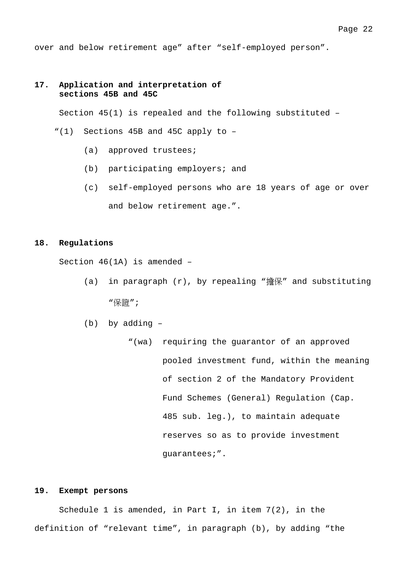over and below retirement age" after "self-employed person".

#### **17. Application and interpretation of sections 45B and 45C**

Section 45(1) is repealed and the following substituted –

- "(1) Sections 45B and 45C apply to
	- (a) approved trustees;
	- (b) participating employers; and
	- (c) self-employed persons who are 18 years of age or over and below retirement age.".

#### **18. Regulations**

Section 46(1A) is amended –

- (a) in paragraph (r), by repealing "擔保" and substituting "保證";
- (b) by adding
	- "(wa) requiring the guarantor of an approved pooled investment fund, within the meaning of section 2 of the Mandatory Provident Fund Schemes (General) Regulation (Cap. 485 sub. leg.), to maintain adequate reserves so as to provide investment guarantees;".

### **19. Exempt persons**

Schedule 1 is amended, in Part I, in item 7(2), in the definition of "relevant time", in paragraph (b), by adding "the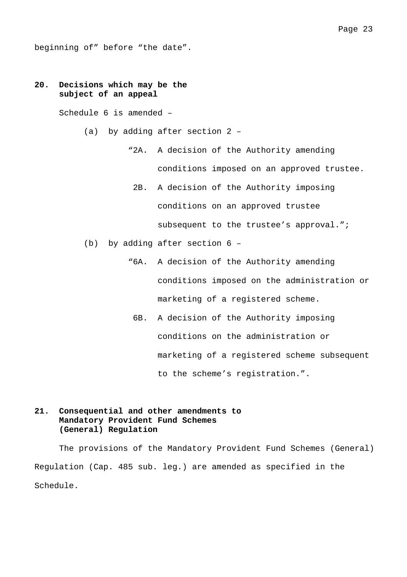beginning of" before "the date".

### **20. Decisions which may be the subject of an appeal**

Schedule 6 is amended –

- (a) by adding after section 2
	- "2A. A decision of the Authority amending conditions imposed on an approved trustee.
		- 2B. A decision of the Authority imposing conditions on an approved trustee subsequent to the trustee's approval.";
- (b) by adding after section 6
	- "6A. A decision of the Authority amending conditions imposed on the administration or marketing of a registered scheme.
		- 6B. A decision of the Authority imposing conditions on the administration or marketing of a registered scheme subsequent to the scheme's registration.".

### **21. Consequential and other amendments to Mandatory Provident Fund Schemes (General) Regulation**

The provisions of the Mandatory Provident Fund Schemes (General) Regulation (Cap. 485 sub. leg.) are amended as specified in the Schedule.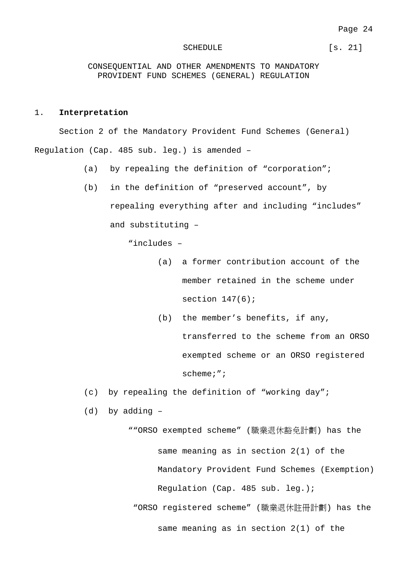#### SCHEDULE [s. 21]

CONSEQUENTIAL AND OTHER AMENDMENTS TO MANDATORY PROVIDENT FUND SCHEMES (GENERAL) REGULATION

#### 1. **Interpretation**

Section 2 of the Mandatory Provident Fund Schemes (General) Regulation (Cap. 485 sub. leg.) is amended –

- (a) by repealing the definition of "corporation";
- (b) in the definition of "preserved account", by repealing everything after and including "includes" and substituting –

"includes –

- (a) a former contribution account of the member retained in the scheme under section  $147(6)$ ;
- (b) the member's benefits, if any, transferred to the scheme from an ORSO exempted scheme or an ORSO registered

scheme;";

- (c) by repealing the definition of "working day";
- (d) by adding –

""ORSO exempted scheme" (職業退休豁免計劃) has the same meaning as in section 2(1) of the Mandatory Provident Fund Schemes (Exemption) Regulation (Cap. 485 sub. leg.); "ORSO registered scheme" (職業退休註冊計劃) has the same meaning as in section 2(1) of the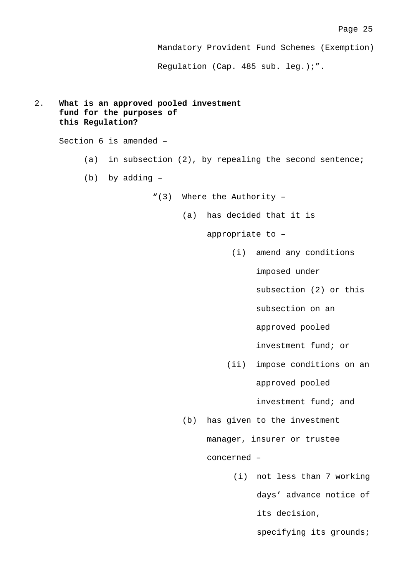Mandatory Provident Fund Schemes (Exemption)

Regulation (Cap. 485 sub. leg.);".

```
2. What is an approved pooled investment
fund for the purposes of
this Regulation?
Section 6 is amended –
      (a) in subsection (2), by repealing the second sentence;
      (b) by adding –
                    "(3) Where the Authority –
                          (a) has decided that it is
                               appropriate to –
                                    (i) amend any conditions
                                         imposed under
                                         subsection (2) or this
                                         subsection on an
                                         approved pooled
                                         investment fund; or
                                   (ii) impose conditions on an
                                         approved pooled
                                         investment fund; and
                          (b) has given to the investment
                               manager, insurer or trustee
                               concerned –
                                    (i) not less than 7 working
                                         days' advance notice of
                                         its decision,
                                         specifying its grounds;
```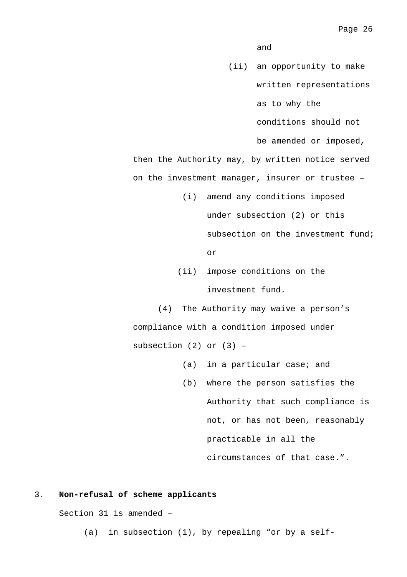and

(ii) an opportunity to make written representations as to why the

conditions should not

be amended or imposed,

then the Authority may, by written notice served on the investment manager, insurer or trustee –

> (i) amend any conditions imposed under subsection (2) or this subsection on the investment fund;

> > or

(ii) impose conditions on the investment fund.

(4) The Authority may waive a person's compliance with a condition imposed under subsection  $(2)$  or  $(3)$  -

- (a) in a particular case; and
- (b) where the person satisfies the Authority that such compliance is not, or has not been, reasonably practicable in all the circumstances of that case.".

#### 3. **Non-refusal of scheme applicants**

Section 31 is amended –

(a) in subsection (1), by repealing "or by a self-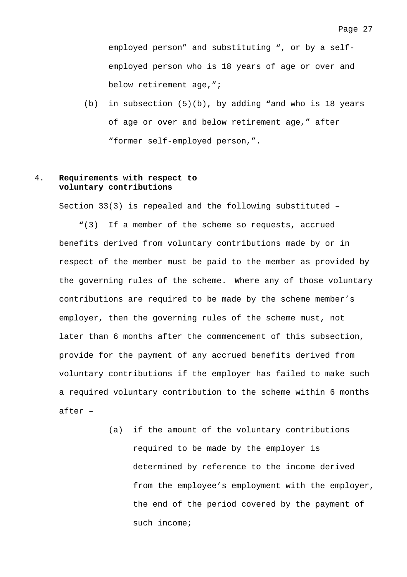employed person" and substituting ", or by a selfemployed person who is 18 years of age or over and below retirement age,";

(b) in subsection (5)(b), by adding "and who is 18 years of age or over and below retirement age," after "former self-employed person,".

### 4. **Requirements with respect to voluntary contributions**

Section 33(3) is repealed and the following substituted –

"(3) If a member of the scheme so requests, accrued benefits derived from voluntary contributions made by or in respect of the member must be paid to the member as provided by the governing rules of the scheme. Where any of those voluntary contributions are required to be made by the scheme member's employer, then the governing rules of the scheme must, not later than 6 months after the commencement of this subsection, provide for the payment of any accrued benefits derived from voluntary contributions if the employer has failed to make such a required voluntary contribution to the scheme within 6 months after –

> (a) if the amount of the voluntary contributions required to be made by the employer is determined by reference to the income derived from the employee's employment with the employer, the end of the period covered by the payment of such income;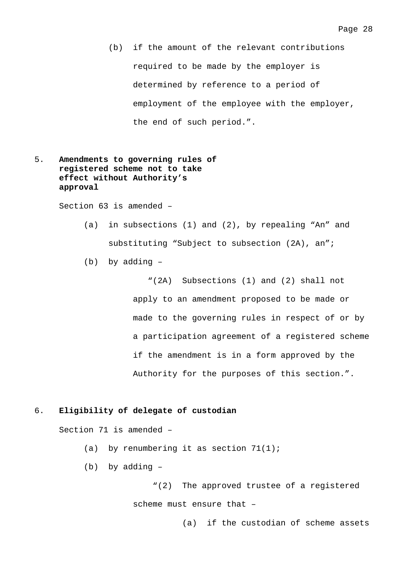(b) if the amount of the relevant contributions required to be made by the employer is determined by reference to a period of employment of the employee with the employer, the end of such period.".

### 5. **Amendments to governing rules of registered scheme not to take effect without Authority's approval**

Section 63 is amended –

- (a) in subsections (1) and (2), by repealing "An" and substituting "Subject to subsection (2A), an";
- (b) by adding –

"(2A) Subsections (1) and (2) shall not apply to an amendment proposed to be made or made to the governing rules in respect of or by a participation agreement of a registered scheme if the amendment is in a form approved by the Authority for the purposes of this section.".

#### 6. **Eligibility of delegate of custodian**

Section 71 is amended –

- (a) by renumbering it as section  $71(1)$ ;
- (b) by adding –

"(2) The approved trustee of a registered scheme must ensure that –

(a) if the custodian of scheme assets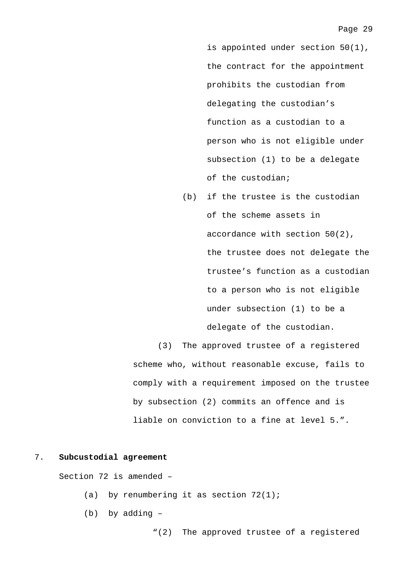is appointed under section 50(1), the contract for the appointment prohibits the custodian from delegating the custodian's function as a custodian to a person who is not eligible under subsection (1) to be a delegate of the custodian;

(b) if the trustee is the custodian of the scheme assets in accordance with section 50(2), the trustee does not delegate the trustee's function as a custodian to a person who is not eligible under subsection (1) to be a delegate of the custodian.

(3) The approved trustee of a registered scheme who, without reasonable excuse, fails to comply with a requirement imposed on the trustee by subsection (2) commits an offence and is liable on conviction to a fine at level 5.".

#### 7. **Subcustodial agreement**

Section 72 is amended –

- (a) by renumbering it as section  $72(1)$ ;
- (b) by adding –

"(2) The approved trustee of a registered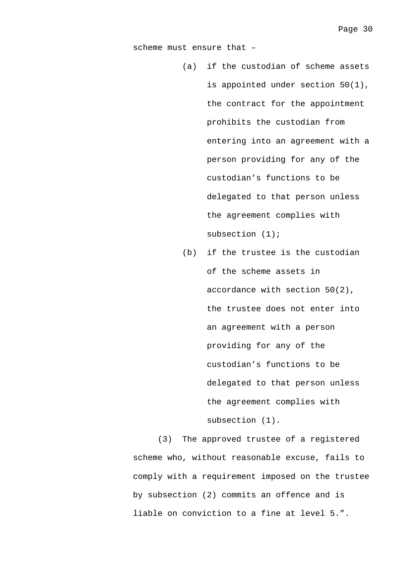scheme must ensure that –

- (a) if the custodian of scheme assets is appointed under section 50(1), the contract for the appointment prohibits the custodian from entering into an agreement with a person providing for any of the custodian's functions to be delegated to that person unless the agreement complies with subsection (1);
- (b) if the trustee is the custodian of the scheme assets in accordance with section 50(2), the trustee does not enter into an agreement with a person providing for any of the custodian's functions to be delegated to that person unless the agreement complies with subsection (1).

(3) The approved trustee of a registered scheme who, without reasonable excuse, fails to comply with a requirement imposed on the trustee by subsection (2) commits an offence and is liable on conviction to a fine at level 5.".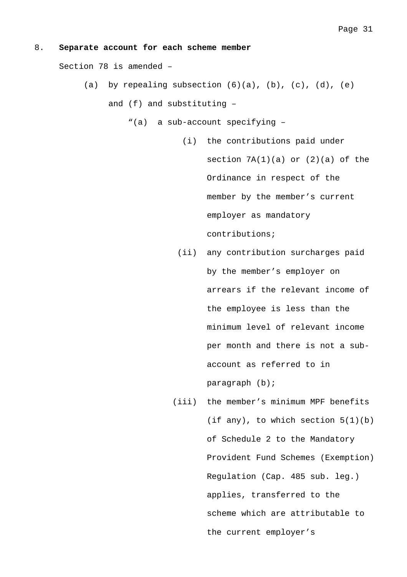#### 8. **Separate account for each scheme member**

Section 78 is amended –

(a) by repealing subsection  $(6)(a)$ ,  $(b)$ ,  $(c)$ ,  $(d)$ ,  $(e)$ 

and (f) and substituting –

- "(a) a sub-account specifying
	- (i) the contributions paid under section  $7A(1)(a)$  or  $(2)(a)$  of the Ordinance in respect of the member by the member's current employer as mandatory contributions;
	- (ii) any contribution surcharges paid by the member's employer on arrears if the relevant income of the employee is less than the minimum level of relevant income per month and there is not a subaccount as referred to in paragraph (b);
	- (iii) the member's minimum MPF benefits (if any), to which section  $5(1)(b)$ of Schedule 2 to the Mandatory Provident Fund Schemes (Exemption) Regulation (Cap. 485 sub. leg.) applies, transferred to the scheme which are attributable to the current employer's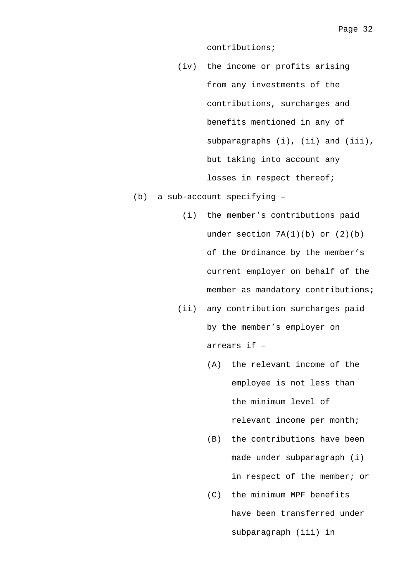contributions;

- (iv) the income or profits arising from any investments of the contributions, surcharges and benefits mentioned in any of subparagraphs (i), (ii) and (iii), but taking into account any losses in respect thereof;
- (b) a sub-account specifying
	- (i) the member's contributions paid under section  $7A(1)(b)$  or  $(2)(b)$ of the Ordinance by the member's current employer on behalf of the member as mandatory contributions;
	- (ii) any contribution surcharges paid by the member's employer on arrears if –
		- (A) the relevant income of the employee is not less than the minimum level of relevant income per month;
		- (B) the contributions have been made under subparagraph (i) in respect of the member; or
		- (C) the minimum MPF benefits have been transferred under subparagraph (iii) in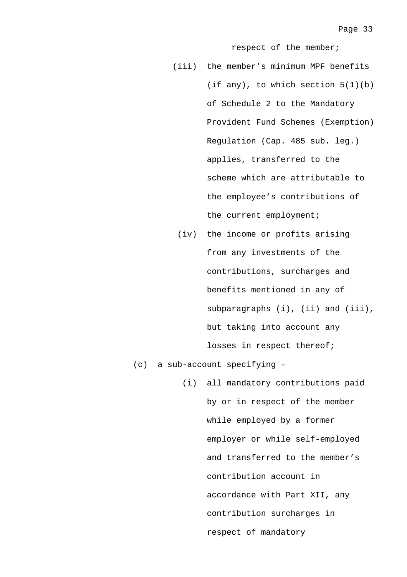respect of the member;

- (iii) the member's minimum MPF benefits (if any), to which section  $5(1)(b)$ of Schedule 2 to the Mandatory Provident Fund Schemes (Exemption) Regulation (Cap. 485 sub. leg.) applies, transferred to the scheme which are attributable to the employee's contributions of the current employment;
- (iv) the income or profits arising from any investments of the contributions, surcharges and benefits mentioned in any of subparagraphs (i), (ii) and (iii), but taking into account any losses in respect thereof;

(c) a sub-account specifying –

(i) all mandatory contributions paid by or in respect of the member while employed by a former employer or while self-employed and transferred to the member's contribution account in accordance with Part XII, any contribution surcharges in respect of mandatory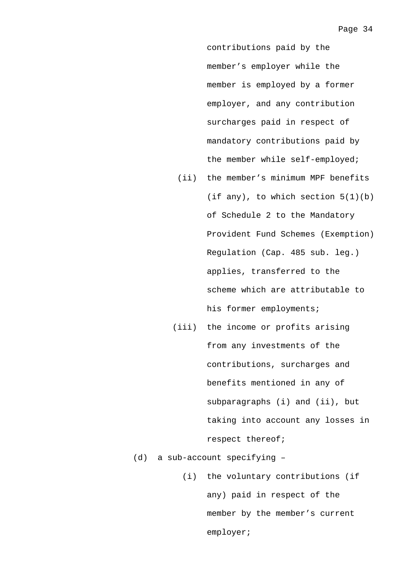contributions paid by the member's employer while the member is employed by a former employer, and any contribution surcharges paid in respect of mandatory contributions paid by the member while self-employed;

- (ii) the member's minimum MPF benefits (if any), to which section  $5(1)(b)$ of Schedule 2 to the Mandatory Provident Fund Schemes (Exemption) Regulation (Cap. 485 sub. leg.) applies, transferred to the scheme which are attributable to his former employments;
- (iii) the income or profits arising from any investments of the contributions, surcharges and benefits mentioned in any of subparagraphs (i) and (ii), but taking into account any losses in respect thereof;
- (d) a sub-account specifying
	- (i) the voluntary contributions (if any) paid in respect of the member by the member's current employer;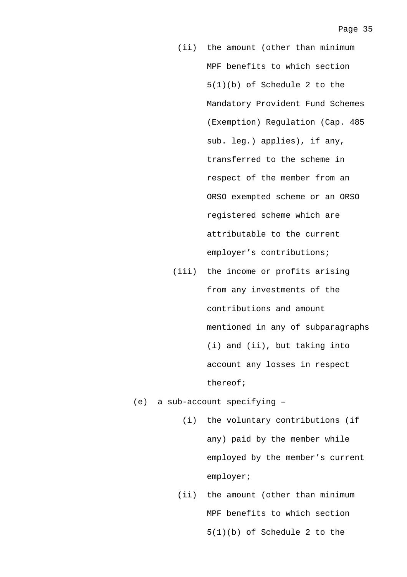- (ii) the amount (other than minimum MPF benefits to which section 5(1)(b) of Schedule 2 to the Mandatory Provident Fund Schemes (Exemption) Regulation (Cap. 485 sub. leg.) applies), if any, transferred to the scheme in respect of the member from an ORSO exempted scheme or an ORSO registered scheme which are attributable to the current employer's contributions;
- (iii) the income or profits arising from any investments of the contributions and amount mentioned in any of subparagraphs (i) and (ii), but taking into account any losses in respect thereof;
- (e) a sub-account specifying
	- (i) the voluntary contributions (if any) paid by the member while employed by the member's current employer;
	- (ii) the amount (other than minimum MPF benefits to which section 5(1)(b) of Schedule 2 to the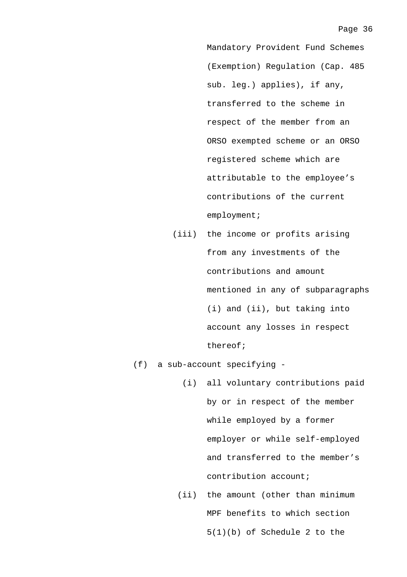Mandatory Provident Fund Schemes (Exemption) Regulation (Cap. 485 sub. leg.) applies), if any, transferred to the scheme in respect of the member from an ORSO exempted scheme or an ORSO registered scheme which are attributable to the employee's contributions of the current employment;

- (iii) the income or profits arising from any investments of the contributions and amount mentioned in any of subparagraphs (i) and (ii), but taking into account any losses in respect thereof;
- (f) a sub-account specifying
	- (i) all voluntary contributions paid by or in respect of the member while employed by a former employer or while self-employed and transferred to the member's contribution account;
	- (ii) the amount (other than minimum MPF benefits to which section 5(1)(b) of Schedule 2 to the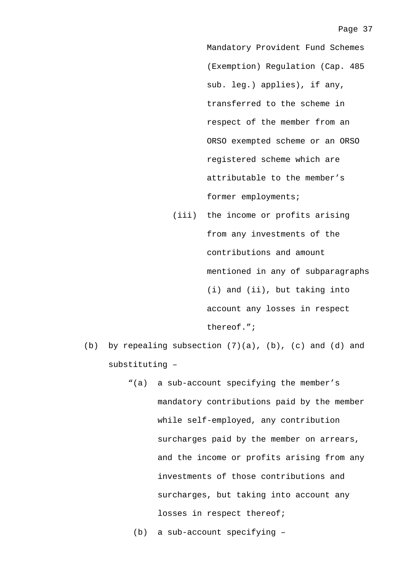Mandatory Provident Fund Schemes (Exemption) Regulation (Cap. 485 sub. leg.) applies), if any, transferred to the scheme in respect of the member from an ORSO exempted scheme or an ORSO registered scheme which are attributable to the member's former employments;

- (iii) the income or profits arising from any investments of the contributions and amount mentioned in any of subparagraphs (i) and (ii), but taking into account any losses in respect thereof.";
- (b) by repealing subsection (7)(a), (b), (c) and (d) and substituting –
	- "(a) a sub-account specifying the member's mandatory contributions paid by the member while self-employed, any contribution surcharges paid by the member on arrears, and the income or profits arising from any investments of those contributions and surcharges, but taking into account any losses in respect thereof;
		- (b) a sub-account specifying –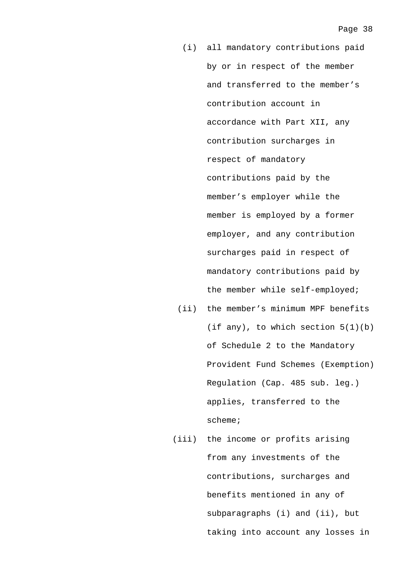- (i) all mandatory contributions paid by or in respect of the member and transferred to the member's contribution account in accordance with Part XII, any contribution surcharges in respect of mandatory contributions paid by the member's employer while the member is employed by a former employer, and any contribution surcharges paid in respect of mandatory contributions paid by the member while self-employed;
- (ii) the member's minimum MPF benefits (if any), to which section  $5(1)(b)$ of Schedule 2 to the Mandatory Provident Fund Schemes (Exemption) Regulation (Cap. 485 sub. leg.) applies, transferred to the scheme;
- (iii) the income or profits arising from any investments of the contributions, surcharges and benefits mentioned in any of subparagraphs (i) and (ii), but taking into account any losses in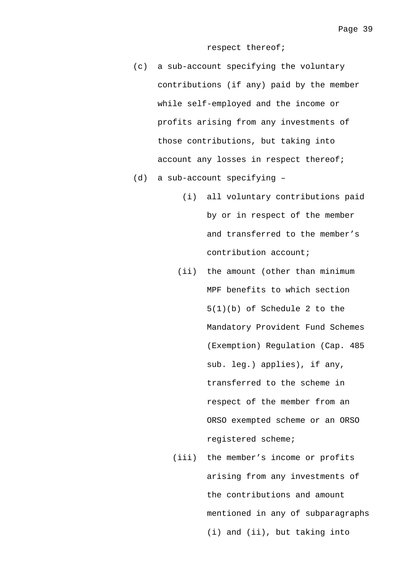respect thereof;

- (c) a sub-account specifying the voluntary contributions (if any) paid by the member while self-employed and the income or profits arising from any investments of those contributions, but taking into account any losses in respect thereof;
- (d) a sub-account specifying
	- (i) all voluntary contributions paid by or in respect of the member and transferred to the member's contribution account;
	- (ii) the amount (other than minimum MPF benefits to which section 5(1)(b) of Schedule 2 to the Mandatory Provident Fund Schemes (Exemption) Regulation (Cap. 485 sub. leg.) applies), if any, transferred to the scheme in respect of the member from an ORSO exempted scheme or an ORSO registered scheme;
	- (iii) the member's income or profits arising from any investments of the contributions and amount mentioned in any of subparagraphs (i) and (ii), but taking into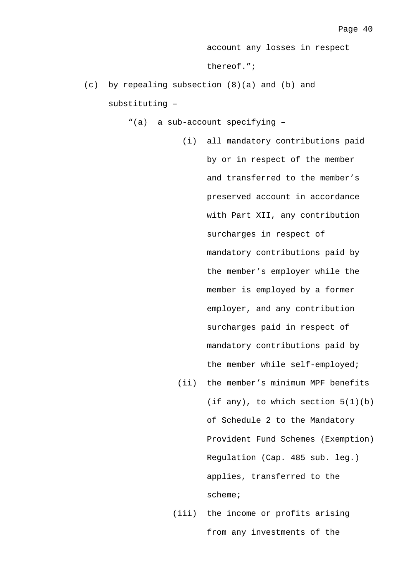account any losses in respect

thereof.";

- (c) by repealing subsection (8)(a) and (b) and substituting –
	- "(a) a sub-account specifying
		- (i) all mandatory contributions paid by or in respect of the member and transferred to the member's preserved account in accordance with Part XII, any contribution surcharges in respect of mandatory contributions paid by the member's employer while the member is employed by a former employer, and any contribution surcharges paid in respect of mandatory contributions paid by the member while self-employed;
		- (ii) the member's minimum MPF benefits (if any), to which section  $5(1)(b)$ of Schedule 2 to the Mandatory Provident Fund Schemes (Exemption) Regulation (Cap. 485 sub. leg.) applies, transferred to the scheme;
		- (iii) the income or profits arising from any investments of the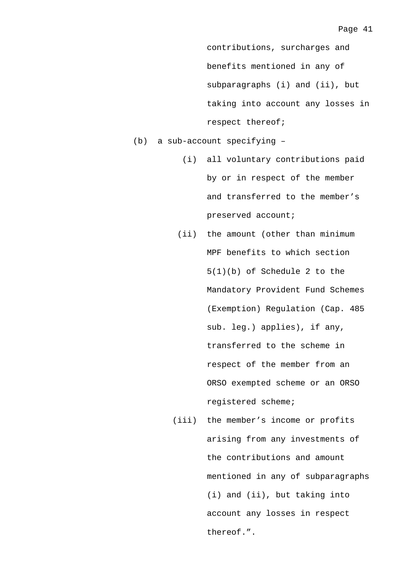contributions, surcharges and benefits mentioned in any of subparagraphs (i) and (ii), but taking into account any losses in respect thereof;

(b) a sub-account specifying –

- (i) all voluntary contributions paid by or in respect of the member and transferred to the member's preserved account;
- (ii) the amount (other than minimum MPF benefits to which section 5(1)(b) of Schedule 2 to the Mandatory Provident Fund Schemes (Exemption) Regulation (Cap. 485 sub. leg.) applies), if any, transferred to the scheme in respect of the member from an ORSO exempted scheme or an ORSO registered scheme;
- (iii) the member's income or profits arising from any investments of the contributions and amount mentioned in any of subparagraphs (i) and (ii), but taking into account any losses in respect thereof.".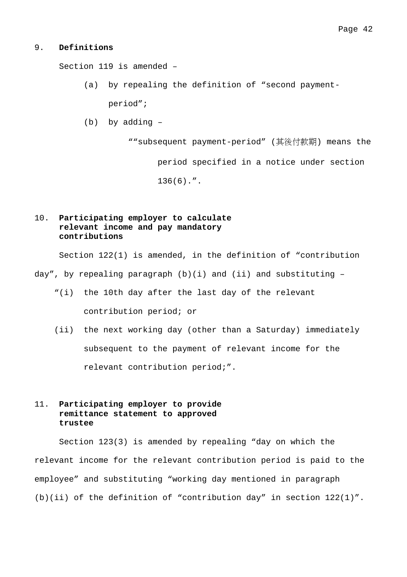#### 9. **Definitions**

Section 119 is amended –

- (a) by repealing the definition of "second paymentperiod";
- (b) by adding –

""subsequent payment-period" (其後付款期) means the period specified in a notice under section 136(6).".

### 10. **Participating employer to calculate relevant income and pay mandatory contributions**

Section 122(1) is amended, in the definition of "contribution

day", by repealing paragraph  $(b)(i)$  and  $(ii)$  and substituting -

- "(i) the 10th day after the last day of the relevant contribution period; or
- (ii) the next working day (other than a Saturday) immediately subsequent to the payment of relevant income for the relevant contribution period;".

### 11. **Participating employer to provide remittance statement to approved trustee**

Section 123(3) is amended by repealing "day on which the relevant income for the relevant contribution period is paid to the employee" and substituting "working day mentioned in paragraph (b)(ii) of the definition of "contribution day" in section 122(1)".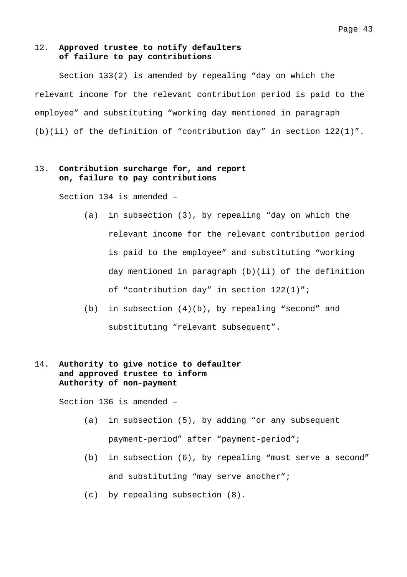#### 12. **Approved trustee to notify defaulters of failure to pay contributions**

Section 133(2) is amended by repealing "day on which the relevant income for the relevant contribution period is paid to the employee" and substituting "working day mentioned in paragraph (b)(ii) of the definition of "contribution day" in section 122(1)".

### 13. **Contribution surcharge for, and report on, failure to pay contributions**

Section 134 is amended –

- (a) in subsection (3), by repealing "day on which the relevant income for the relevant contribution period is paid to the employee" and substituting "working day mentioned in paragraph (b)(ii) of the definition of "contribution day" in section 122(1)";
- (b) in subsection (4)(b), by repealing "second" and substituting "relevant subsequent".

### 14. **Authority to give notice to defaulter and approved trustee to inform Authority of non-payment**

Section 136 is amended –

- (a) in subsection (5), by adding "or any subsequent payment-period" after "payment-period";
- (b) in subsection (6), by repealing "must serve a second" and substituting "may serve another";
- (c) by repealing subsection (8).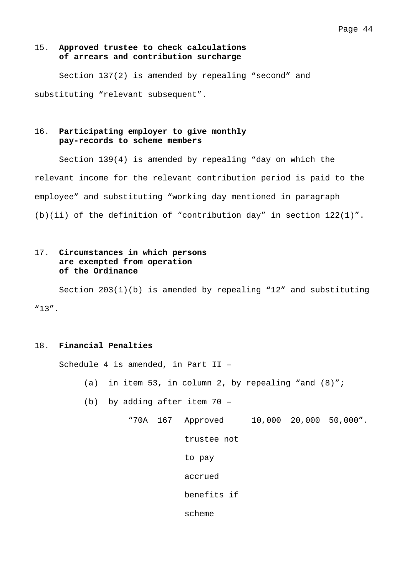### 15. **Approved trustee to check calculations of arrears and contribution surcharge**

Section 137(2) is amended by repealing "second" and substituting "relevant subsequent".

### 16. **Participating employer to give monthly pay-records to scheme members**

Section 139(4) is amended by repealing "day on which the relevant income for the relevant contribution period is paid to the employee" and substituting "working day mentioned in paragraph (b)(ii) of the definition of "contribution day" in section 122(1)".

### 17. **Circumstances in which persons are exempted from operation of the Ordinance**

Section 203(1)(b) is amended by repealing "12" and substituting "13".

### 18. **Financial Penalties**

Schedule 4 is amended, in Part II –

- (a) in item 53, in column 2, by repealing "and  $(8)$ ";
- (b) by adding after item 70
	- "70A 167 Approved 10,000 20,000 50,000".

trustee not

to pay

accrued

benefits if

scheme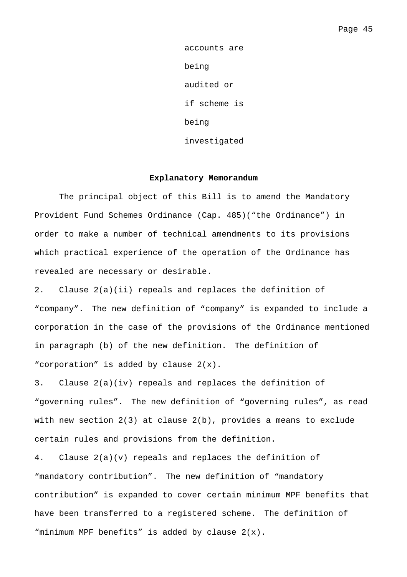accounts are being audited or if scheme is being investigated

#### **Explanatory Memorandum**

The principal object of this Bill is to amend the Mandatory Provident Fund Schemes Ordinance (Cap. 485)("the Ordinance") in order to make a number of technical amendments to its provisions which practical experience of the operation of the Ordinance has revealed are necessary or desirable.

2. Clause 2(a)(ii) repeals and replaces the definition of "company". The new definition of "company" is expanded to include a corporation in the case of the provisions of the Ordinance mentioned in paragraph (b) of the new definition. The definition of "corporation" is added by clause 2(x).

3. Clause 2(a)(iv) repeals and replaces the definition of "governing rules". The new definition of "governing rules", as read with new section 2(3) at clause 2(b), provides a means to exclude certain rules and provisions from the definition.

4. Clause 2(a)(v) repeals and replaces the definition of "mandatory contribution". The new definition of "mandatory contribution" is expanded to cover certain minimum MPF benefits that have been transferred to a registered scheme. The definition of "minimum MPF benefits" is added by clause 2(x).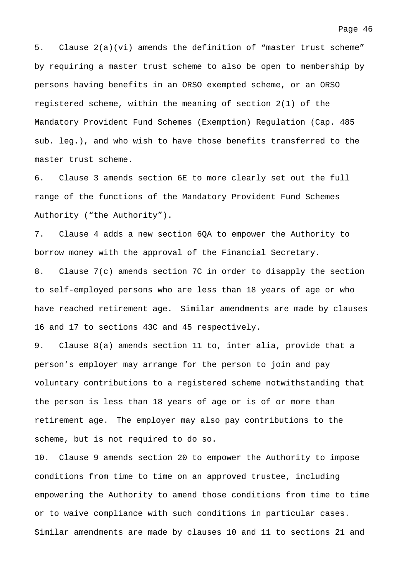5. Clause 2(a)(vi) amends the definition of "master trust scheme" by requiring a master trust scheme to also be open to membership by persons having benefits in an ORSO exempted scheme, or an ORSO registered scheme, within the meaning of section 2(1) of the Mandatory Provident Fund Schemes (Exemption) Regulation (Cap. 485 sub. leg.), and who wish to have those benefits transferred to the master trust scheme.

6. Clause 3 amends section 6E to more clearly set out the full range of the functions of the Mandatory Provident Fund Schemes Authority ("the Authority").

7. Clause 4 adds a new section 6QA to empower the Authority to borrow money with the approval of the Financial Secretary.

8. Clause 7(c) amends section 7C in order to disapply the section to self-employed persons who are less than 18 years of age or who have reached retirement age. Similar amendments are made by clauses 16 and 17 to sections 43C and 45 respectively.

9. Clause 8(a) amends section 11 to, inter alia, provide that a person's employer may arrange for the person to join and pay voluntary contributions to a registered scheme notwithstanding that the person is less than 18 years of age or is of or more than retirement age. The employer may also pay contributions to the scheme, but is not required to do so.

10. Clause 9 amends section 20 to empower the Authority to impose conditions from time to time on an approved trustee, including empowering the Authority to amend those conditions from time to time or to waive compliance with such conditions in particular cases. Similar amendments are made by clauses 10 and 11 to sections 21 and